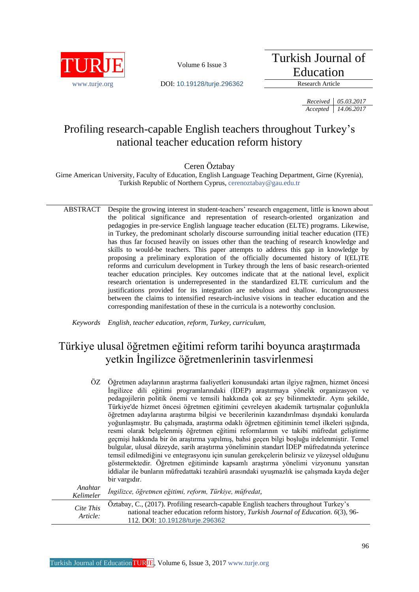

Turkish Journal of Education

www.turie.org **DOI:** 10.19128/turie.296362 Research Article

*Received 05.03.2017 Accepted 14.06.2017*

# Profiling research-capable English teachers throughout Turkey's national teacher education reform history

Ceren Öztabay

Girne American University, Faculty of Education, English Language Teaching Department, Girne (Kyrenia), Turkish Republic of Northern Cyprus, [cerenoztabay@gau.edu.tr](mailto:cerenoztabay@gau.edu.tr)

ABSTRACT Despite the growing interest in student-teachers' research engagement, little is known about the political significance and representation of research-oriented organization and pedagogies in pre-service English language teacher education (ELTE) programs. Likewise, in Turkey, the predominant scholarly discourse surrounding initial teacher education (ITE) has thus far focused heavily on issues other than the teaching of research knowledge and skills to would-be teachers. This paper attempts to address this gap in knowledge by proposing a preliminary exploration of the officially documented history of I(EL)TE reforms and curriculum development in Turkey through the lens of basic research-oriented teacher education principles. Key outcomes indicate that at the national level, explicit research orientation is underrepresented in the standardized ELTE curriculum and the justifications provided for its integration are nebulous and shallow. Incongruousness between the claims to intensified research-inclusive visions in teacher education and the corresponding manifestation of these in the curricula is a noteworthy conclusion.

*Keywords English, teacher education, reform, Turkey, curriculum,*

# Türkiye ulusal öğretmen eğitimi reform tarihi boyunca araştırmada yetkin İngilizce öğretmenlerinin tasvirlenmesi

ÖZ Öğretmen adaylarının araştırma faaliyetleri konusundaki artan ilgiye rağmen, hizmet öncesi İngilizce dili eğitimi programlarındaki (İDEP) araştırmaya yönelik organizasyon ve pedagojilerin politik önemi ve temsili hakkında çok az şey bilinmektedir. Aynı şekilde, Türkiye'de hizmet öncesi öğretmen eğitimini çevreleyen akademik tartışmalar çoğunlukla öğretmen adaylarına araştırma bilgisi ve becerilerinin kazandırılması dışındaki konularda yoğunlaşmıştır. Bu çalışmada, araştırma odaklı öğretmen eğitiminin temel ilkeleri ışığında, resmi olarak belgelenmiş öğretmen eğitimi reformlarının ve takibi müfredat geliştirme geçmişi hakkında bir ön araştırma yapılmış, bahsi geçen bilgi boşluğu irdelenmiştir. Temel bulgular, ulusal düzeyde, sarih araştırma yöneliminin standart İDEP müfredatında yeterince temsil edilmediğini ve entegrasyonu için sunulan gerekçelerin belirsiz ve yüzeysel olduğunu göstermektedir. Öğretmen eğitiminde kapsamlı araştırma yönelimi vizyonunu yansıtan iddialar ile bunların müfredattaki tezahürü arasındaki uyuşmazlık ise çalışmada kayda değer bir vargıdır.  $A \sim \mathbb{R}$  *L<sub>t</sub>* 

| Ananiar<br>Kelimeler  | İngilizce, öğretmen eğitimi, reform, Türkiye, müfredat,                                                                                                                                                       |
|-----------------------|---------------------------------------------------------------------------------------------------------------------------------------------------------------------------------------------------------------|
| Cite This<br>Article: | Öztabay, C., (2017). Profiling research-capable English teachers throughout Turkey's<br>national teacher education reform history, Turkish Journal of Education. 6(3), 96-<br>112. DOI: 10.19128/turie.296362 |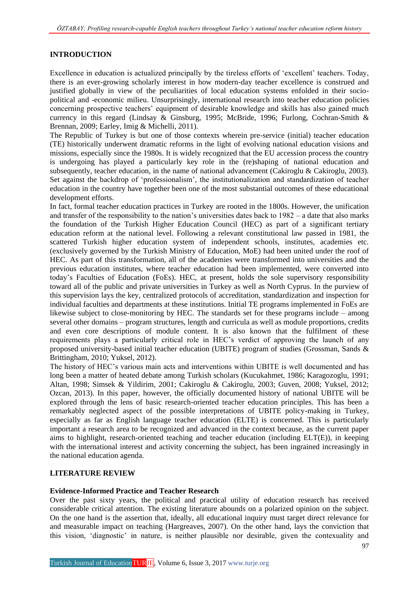# **INTRODUCTION**

Excellence in education is actualized principally by the tireless efforts of 'excellent' teachers. Today, there is an ever-growing scholarly interest in how modern-day teacher excellence is construed and justified globally in view of the peculiarities of local education systems enfolded in their sociopolitical and -economic milieu. Unsurprisingly, international research into teacher education policies concerning prospective teachers' equipment of desirable knowledge and skills has also gained much currency in this regard (Lindsay & Ginsburg, 1995; McBride, 1996; Furlong, Cochran-Smith & Brennan, 2009; Earley, Imig & Michelli, 2011).

The Republic of Turkey is but one of those contexts wherein pre-service (initial) teacher education (TE) historically underwent dramatic reforms in the light of evolving national education visions and missions, especially since the 1980s. It is widely recognized that the EU accession process the country is undergoing has played a particularly key role in the (re)shaping of national education and subsequently, teacher education, in the name of national advancement (Cakiroglu & Cakiroglu, 2003). Set against the backdrop of 'professionalism', the institutionalization and standardization of teacher education in the country have together been one of the most substantial outcomes of these educational development efforts.

In fact, formal teacher education practices in Turkey are rooted in the 1800s. However, the unification and transfer of the responsibility to the nation's universities dates back to 1982 – a date that also marks the foundation of the Turkish Higher Education Council (HEC) as part of a significant tertiary education reform at the national level. Following a relevant constitutional law passed in 1981, the scattered Turkish higher education system of independent schools, institutes, academies etc. (exclusively governed by the Turkish Ministry of Education, MoE) had been united under the roof of HEC. As part of this transformation, all of the academies were transformed into universities and the previous education institutes, where teacher education had been implemented, were converted into today's Faculties of Education (FoEs). HEC, at present, holds the sole supervisory responsibility toward all of the public and private universities in Turkey as well as North Cyprus. In the purview of this supervision lays the key, centralized protocols of accreditation, standardization and inspection for individual faculties and departments at these institutions. Initial TE programs implemented in FoEs are likewise subject to close-monitoring by HEC. The standards set for these programs include – among several other domains – program structures, length and curricula as well as module proportions, credits and even core descriptions of module content. It is also known that the fulfilment of these requirements plays a particularly critical role in HEC's verdict of approving the launch of any proposed university-based initial teacher education (UBITE) program of studies (Grossman, Sands & Brittingham, 2010; Yuksel, 2012).

The history of HEC's various main acts and interventions within UBITE is well documented and has long been a matter of heated debate among Turkish scholars (Kucukahmet, 1986; Karagozoglu, 1991; Altan, 1998; Simsek & Yildirim, 2001; Cakiroglu & Cakiroglu, 2003; Guven, 2008; Yuksel, 2012; Ozcan, 2013). In this paper, however, the officially documented history of national UBITE will be explored through the lens of basic research-oriented teacher education principles. This has been a remarkably neglected aspect of the possible interpretations of UBITE policy-making in Turkey, especially as far as English language teacher education (ELTE) is concerned. This is particularly important a research area to be recognized and advanced in the context because, as the current paper aims to highlight, research-oriented teaching and teacher education (including ELT(E)), in keeping with the international interest and activity concerning the subject, has been ingrained increasingly in the national education agenda.

### **LITERATURE REVIEW**

### **Evidence-Informed Practice and Teacher Research**

Over the past sixty years, the political and practical utility of education research has received considerable critical attention. The existing literature abounds on a polarized opinion on the subject. On the one hand is the assertion that, ideally, all educational inquiry must target direct relevance for and measurable impact on teaching (Hargreaves, 2007). On the other hand, lays the conviction that this vision, 'diagnostic' in nature, is neither plausible nor desirable, given the contexuality and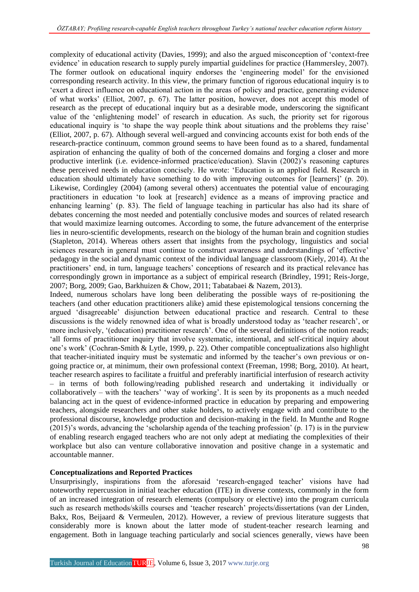complexity of educational activity (Davies, 1999); and also the argued misconception of 'context-free evidence' in education research to supply purely impartial guidelines for practice (Hammersley, 2007). The former outlook on educational inquiry endorses the 'engineering model' for the envisioned corresponding research activity. In this view, the primary function of rigorous educational inquiry is to 'exert a direct influence on educational action in the areas of policy and practice, generating evidence of what works' (Elliot, 2007, p. 67). The latter position, however, does not accept this model of research as the precept of educational inquiry but as a desirable mode, underscoring the significant value of the 'enlightening model' of research in education. As such, the priority set for rigorous educational inquiry is 'to shape the way people think about situations and the problems they raise' (Elliot, 2007, p. 67). Although several well-argued and convincing accounts exist for both ends of the research-practice continuum, common ground seems to have been found as to a shared, fundamental aspiration of enhancing the quality of both of the concerned domains and forging a closer and more productive interlink (i.e. evidence-informed practice/education). Slavin (2002)'s reasoning captures these perceived needs in education concisely. He wrote: 'Education is an applied field. Research in education should ultimately have something to do with improving outcomes for [learners]' (p. 20). Likewise, Cordingley (2004) (among several others) accentuates the potential value of encouraging practitioners in education 'to look at [research] evidence as a means of improving practice and enhancing learning' (p. 83). The field of language teaching in particular has also had its share of debates concerning the most needed and potentially conclusive modes and sources of related research that would maximize learning outcomes. According to some, the future advancement of the enterprise lies in neuro-scientific developments, research on the biology of the human brain and cognition studies (Stapleton, 2014). Whereas others assert that insights from the psychology, linguistics and social sciences research in general must continue to construct awareness and understandings of 'effective' pedagogy in the social and dynamic context of the individual language classroom (Kiely, 2014). At the practitioners' end, in turn, language teachers' conceptions of research and its practical relevance has correspondingly grown in importance as a subject of empirical research (Brindley, 1991; Reis-Jorge, 2007; Borg, 2009; Gao, Barkhuizen & Chow, 2011; Tabatabaei & Nazem, 2013).

Indeed, numerous scholars have long been deliberating the possible ways of re-positioning the teachers (and other education practitioners alike) amid these epistemological tensions concerning the argued 'disagreeable' disjunction between educational practice and research. Central to these discussions is the widely renowned idea of what is broadly understood today as 'teacher research', or more inclusively, '(education) practitioner research'. One of the several definitions of the notion reads; 'all forms of practitioner inquiry that involve systematic, intentional, and self-critical inquiry about one's work' (Cochran-Smith & Lytle, 1999, p. 22). Other compatible conceptualizations also highlight that teacher-initiated inquiry must be systematic and informed by the teacher's own previous or ongoing practice or, at minimum, their own professional context (Freeman, 1998; Borg, 2010). At heart, teacher research aspires to facilitate a fruitful and preferably inartificial interfusion of research activity – in terms of both following/reading published research and undertaking it individually or collaboratively – with the teachers' 'way of working'. It is seen by its proponents as a much needed balancing act in the quest of evidence-informed practice in education by preparing and empowering teachers, alongside researchers and other stake holders, to actively engage with and contribute to the professional discourse, knowledge production and decision-making in the field. In Munthe and Rogne (2015)'s words, advancing the 'scholarship agenda of the teaching profession' (p. 17) is in the purview of enabling research engaged teachers who are not only adept at mediating the complexities of their workplace but also can venture collaborative innovation and positive change in a systematic and accountable manner.

## **Conceptualizations and Reported Practices**

Unsurprisingly, inspirations from the aforesaid 'research-engaged teacher' visions have had noteworthy repercussion in initial teacher education (ITE) in diverse contexts, commonly in the form of an increased integration of research elements (compulsory or elective) into the program curricula such as research methods/skills courses and 'teacher research' projects/dissertations (van der Linden, Bakx, Ros, Beijaard & Vermeulen, 2012). However, a review of previous literature suggests that considerably more is known about the latter mode of student-teacher research learning and engagement. Both in language teaching particularly and social sciences generally, views have been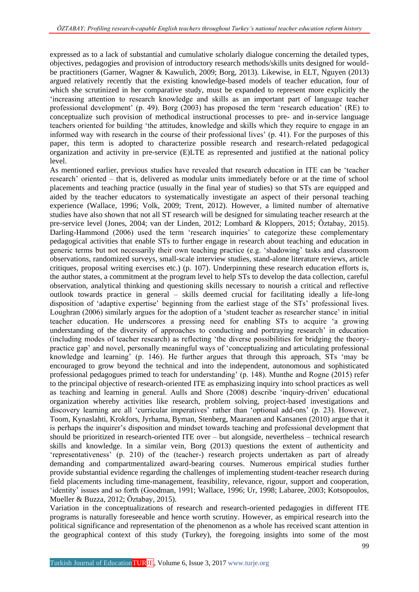expressed as to a lack of substantial and cumulative scholarly dialogue concerning the detailed types, objectives, pedagogies and provision of introductory research methods/skills units designed for wouldbe practitioners (Garner, Wagner & Kawulich, 2009; Borg, 2013). Likewise, in ELT, Nguyen (2013) argued relatively recently that the existing knowledge-based models of teacher education, four of which she scrutinized in her comparative study, must be expanded to represent more explicitly the 'increasing attention to research knowledge and skills as an important part of language teacher professional development' (p. 49). Borg (2003) has proposed the term 'research education' (RE) to conceptualize such provision of methodical instructional processes to pre- and in-service language teachers oriented for building 'the attitudes, knowledge and skills which they require to engage in an informed way with research in the course of their professional lives' (p. 41). For the purposes of this paper, this term is adopted to characterize possible research and research-related pedagogical organization and activity in pre-service (E)LTE as represented and justified at the national policy level.

As mentioned earlier, previous studies have revealed that research education in ITE can be 'teacher research' oriented – that is, delivered as modular units immediately before or at the time of school placements and teaching practice (usually in the final year of studies) so that STs are equipped and aided by the teacher educators to systematically investigate an aspect of their personal teaching experience (Wallace, 1996; Volk, 2009; Trent, 2012). However, a limited number of alternative studies have also shown that not all ST research will be designed for simulating teacher research at the pre-service level (Jones, 2004; van der Linden, 2012; Lombard & Kloppers, 2015; Öztabay, 2015). Darling-Hammond (2006) used the term 'research inquiries' to categorize these complementary pedagogical activities that enable STs to further engage in research about teaching and education in generic terms but not necessarily their own teaching practice (e.g. 'shadowing' tasks and classroom observations, randomized surveys, small-scale interview studies, stand-alone literature reviews, article critiques, proposal writing exercises etc.) (p. 107). Underpinning these research education efforts is, the author states, a commitment at the program level to help STs to develop the data collection, careful observation, analytical thinking and questioning skills necessary to nourish a critical and reflective outlook towards practice in general – skills deemed crucial for facilitating ideally a life-long disposition of 'adaptive expertise' beginning from the earliest stage of the STs' professional lives. Loughran (2006) similarly argues for the adoption of a 'student teacher as researcher stance' in initial teacher education. He underscores a pressing need for enabling STs to acquire 'a growing understanding of the diversity of approaches to conducting and portraying research' in education (including modes of teacher research) as reflecting 'the diverse possibilities for bridging the theorypractice gap' and novel, personally meaningful ways of 'conceptualizing and articulating professional knowledge and learning' (p. 146). He further argues that through this approach, STs 'may be encouraged to grow beyond the technical and into the independent, autonomous and sophisticated professional pedagogues primed to teach for understanding' (p. 148). Munthe and Rogne (2015) refer to the principal objective of research-oriented ITE as emphasizing inquiry into school practices as well as teaching and learning in general. Aulls and Shore (2008) describe 'inquiry-driven' educational organization whereby activities like research, problem solving, project-based investigations and discovery learning are all 'curricular imperatives' rather than 'optional add-ons' (p. 23). However, Toom, Kynaslahti, Krokfors, Jyrhama, Byman, Stenberg, Maaranen and Kansanen (2010) argue that it is perhaps the inquirer's disposition and mindset towards teaching and professional development that should be prioritized in research-oriented ITE over – but alongside, nevertheless – technical research skills and knowledge. In a similar vein, Borg (2013) questions the extent of authenticity and 'representativeness' (p. 210) of the (teacher-) research projects undertaken as part of already demanding and compartmentalized award-bearing courses. Numerous empirical studies further provide substantial evidence regarding the challenges of implementing student-teacher research during field placements including time-management, feasibility, relevance, rigour, support and cooperation, 'identity' issues and so forth (Goodman, 1991; Wallace, 1996; Ur, 1998; Labaree, 2003; Kotsopoulos, Mueller & Buzza, 2012; Öztabay, 2015).

Variation in the conceptualizations of research and research-oriented pedagogies in different ITE programs is naturally foreseeable and hence worth scrutiny. However, as empirical research into the political significance and representation of the phenomenon as a whole has received scant attention in the geographical context of this study (Turkey), the foregoing insights into some of the most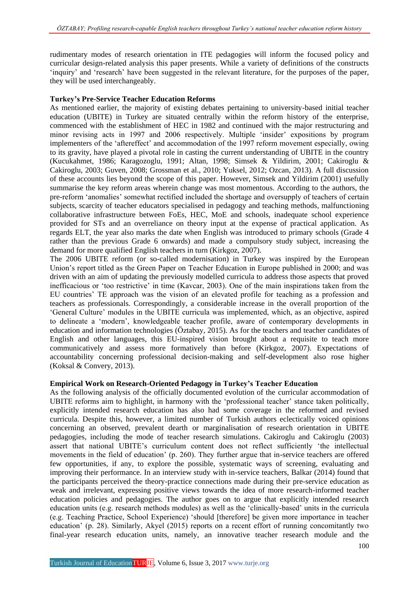rudimentary modes of research orientation in ITE pedagogies will inform the focused policy and curricular design-related analysis this paper presents. While a variety of definitions of the constructs 'inquiry' and 'research' have been suggested in the relevant literature, for the purposes of the paper, they will be used interchangeably.

#### **Turkey's Pre-Service Teacher Education Reforms**

As mentioned earlier, the majority of existing debates pertaining to university-based initial teacher education (UBITE) in Turkey are situated centrally within the reform history of the enterprise, commenced with the establishment of HEC in 1982 and continued with the major restructuring and minor revising acts in 1997 and 2006 respectively. Multiple 'insider' expositions by program implementers of the 'aftereffect' and accommodation of the 1997 reform movement especially, owing to its gravity, have played a pivotal role in casting the current understanding of UBITE in the country (Kucukahmet, 1986; Karagozoglu, 1991; Altan, 1998; Simsek & Yildirim, 2001; Cakiroglu & Cakiroglu, 2003; Guven, 2008; Grossman et al., 2010; Yuksel, 2012; Ozcan, 2013). A full discussion of these accounts lies beyond the scope of this paper. However, Simsek and Yildirim (2001) usefully summarise the key reform areas wherein change was most momentous. According to the authors, the pre-reform 'anomalies' somewhat rectified included the shortage and oversupply of teachers of certain subjects, scarcity of teacher educators specialised in pedagogy and teaching methods, malfunctioning collaborative infrastructure between FoEs, HEC, MoE and schools, inadequate school experience provided for STs and an overreliance on theory input at the expense of practical application. As regards ELT, the year also marks the date when English was introduced to primary schools (Grade 4 rather than the previous Grade 6 onwards) and made a compulsory study subject, increasing the demand for more qualified English teachers in turn (Kirkgoz, 2007).

The 2006 UBITE reform (or so-called modernisation) in Turkey was inspired by the European Union's report titled as the Green Paper on Teacher Education in Europe published in 2000; and was driven with an aim of updating the previously modelled curricula to address those aspects that proved inefficacious or 'too restrictive' in time (Kavcar, 2003). One of the main inspirations taken from the EU countries' TE approach was the vision of an elevated profile for teaching as a profession and teachers as professionals. Correspondingly, a considerable increase in the overall proportion of the 'General Culture' modules in the UBITE curricula was implemented, which, as an objective, aspired to delineate a 'modern', knowledgeable teacher profile, aware of contemporary developments in education and information technologies (Öztabay, 2015). As for the teachers and teacher candidates of English and other languages, this EU-inspired vision brought about a requisite to teach more communicatively and assess more formatively than before (Kirkgoz, 2007). Expectations of accountability concerning professional decision-making and self-development also rose higher (Koksal & Convery, 2013).

### **Empirical Work on Research-Oriented Pedagogy in Turkey's Teacher Education**

As the following analysis of the officially documented evolution of the curricular accommodation of UBITE reforms aim to highlight, in harmony with the 'professional teacher' stance taken politically, explicitly intended research education has also had some coverage in the reformed and revised curricula. Despite this, however, a limited number of Turkish authors eclectically voiced opinions concerning an observed, prevalent dearth or marginalisation of research orientation in UBITE pedagogies, including the mode of teacher research simulations. Cakiroglu and Cakiroglu (2003) assert that national UBITE's curriculum content does not reflect sufficiently 'the intellectual movements in the field of education' (p. 260). They further argue that in-service teachers are offered few opportunities, if any, to explore the possible, systematic ways of screening, evaluating and improving their performance. In an interview study with in-service teachers, Balkar (2014) found that the participants perceived the theory-practice connections made during their pre-service education as weak and irrelevant, expressing positive views towards the idea of more research-informed teacher education policies and pedagogies. The author goes on to argue that explicitly intended research education units (e.g. research methods modules) as well as the 'clinically-based' units in the curricula (e.g. Teaching Practice, School Experience) 'should [therefore] be given more importance in teacher education' (p. 28). Similarly, Akyel (2015) reports on a recent effort of running concomitantly two final-year research education units, namely, an innovative teacher research module and the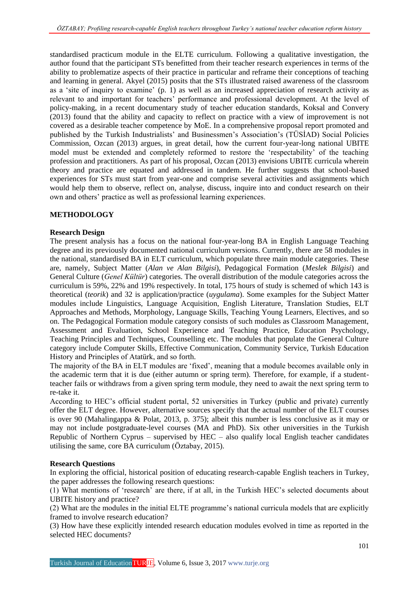standardised practicum module in the ELTE curriculum. Following a qualitative investigation, the author found that the participant STs benefitted from their teacher research experiences in terms of the ability to problematize aspects of their practice in particular and reframe their conceptions of teaching and learning in general. Akyel (2015) posits that the STs illustrated raised awareness of the classroom as a 'site of inquiry to examine' (p. 1) as well as an increased appreciation of research activity as relevant to and important for teachers' performance and professional development. At the level of policy-making, in a recent documentary study of teacher education standards, Koksal and Convery (2013) found that the ability and capacity to reflect on practice with a view of improvement is not covered as a desirable teacher competence by MoE. In a comprehensive proposal report promoted and published by the Turkish Industrialists' and Businessmen's Association's (TÜSİAD) Social Policies Commission, Ozcan (2013) argues, in great detail, how the current four-year-long national UBITE model must be extended and completely reformed to restore the 'respectability' of the teaching profession and practitioners. As part of his proposal, Ozcan (2013) envisions UBITE curricula wherein theory and practice are equated and addressed in tandem. He further suggests that school-based experiences for STs must start from year-one and comprise several activities and assignments which would help them to observe, reflect on, analyse, discuss, inquire into and conduct research on their own and others' practice as well as professional learning experiences.

# **METHODOLOGY**

### **Research Design**

The present analysis has a focus on the national four-year-long BA in English Language Teaching degree and its previously documented national curriculum versions. Currently, there are 58 modules in the national, standardised BA in ELT curriculum, which populate three main module categories. These are, namely, Subject Matter (*Alan ve Alan Bilgisi*), Pedagogical Formation (*Meslek Bilgisi*) and General Culture (*Genel Kültür*) categories. The overall distribution of the module categories across the curriculum is 59%, 22% and 19% respectively. In total, 175 hours of study is schemed of which 143 is theoretical (*teorik*) and 32 is application/practice (*uygulama*). Some examples for the Subject Matter modules include Linguistics, Language Acquisition, English Literature, Translation Studies, ELT Approaches and Methods, Morphology, Language Skills, Teaching Young Learners, Electives, and so on. The Pedagogical Formation module category consists of such modules as Classroom Management, Assessment and Evaluation, School Experience and Teaching Practice, Education Psychology, Teaching Principles and Techniques, Counselling etc. The modules that populate the General Culture category include Computer Skills, Effective Communication, Community Service, Turkish Education History and Principles of Atatürk, and so forth.

The majority of the BA in ELT modules are 'fixed', meaning that a module becomes available only in the academic term that it is due (either autumn or spring term). Therefore, for example, if a studentteacher fails or withdraws from a given spring term module, they need to await the next spring term to re-take it.

According to HEC's official student portal, 52 universities in Turkey (public and private) currently offer the ELT degree. However, alternative sources specify that the actual number of the ELT courses is over 90 (Mahalingappa & Polat, 2013, p. 375); albeit this number is less conclusive as it may or may not include postgraduate-level courses (MA and PhD). Six other universities in the Turkish Republic of Northern Cyprus – supervised by  $HEC$  – also qualify local English teacher candidates utilising the same, core BA curriculum (Öztabay, 2015).

### **Research Questions**

In exploring the official, historical position of educating research-capable English teachers in Turkey, the paper addresses the following research questions:

(1) What mentions of 'research' are there, if at all, in the Turkish HEC's selected documents about UBITE history and practice?

(2) What are the modules in the initial ELTE programme's national curricula models that are explicitly framed to involve research education?

(3) How have these explicitly intended research education modules evolved in time as reported in the selected HEC documents?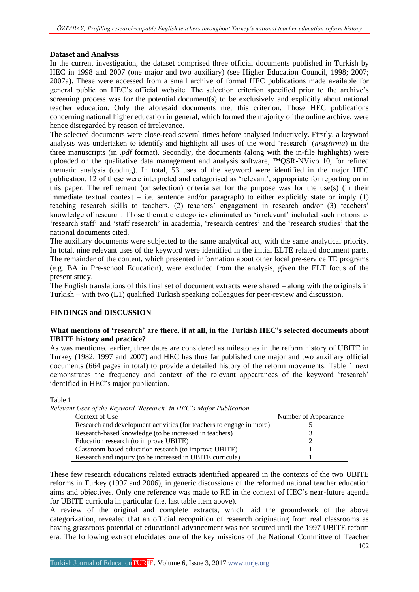### **Dataset and Analysis**

In the current investigation, the dataset comprised three official documents published in Turkish by HEC in 1998 and 2007 (one major and two auxiliary) (see Higher Education Council, 1998; 2007; 2007a). These were accessed from a small archive of formal HEC publications made available for general public on HEC's official website. The selection criterion specified prior to the archive's screening process was for the potential document(s) to be exclusively and explicitly about national teacher education. Only the aforesaid documents met this criterion. Those HEC publications concerning national higher education in general, which formed the majority of the online archive, were hence disregarded by reason of irrelevance.

The selected documents were close-read several times before analysed inductively. Firstly, a keyword analysis was undertaken to identify and highlight all uses of the word 'research' (*araştırma*) in the three manuscripts (in *.pdf* format). Secondly, the documents (along with the in-file highlights) were uploaded on the qualitative data management and analysis software, ™QSR-NVivo 10, for refined thematic analysis (coding). In total, 53 uses of the keyword were identified in the major HEC publication. 12 of these were interpreted and categorised as 'relevant', appropriate for reporting on in this paper. The refinement (or selection) criteria set for the purpose was for the use(s) (in their immediate textual context – i.e. sentence and/or paragraph) to either explicitly state or imply  $(1)$ teaching research skills to teachers, (2) teachers' engagement in research and/or (3) teachers' knowledge of research. Those thematic categories eliminated as 'irrelevant' included such notions as 'research staff' and 'staff research' in academia, 'research centres' and the 'research studies' that the national documents cited.

The auxiliary documents were subjected to the same analytical act, with the same analytical priority. In total, nine relevant uses of the keyword were identified in the initial ELTE related document parts. The remainder of the content, which presented information about other local pre-service TE programs (e.g. BA in Pre-school Education), were excluded from the analysis, given the ELT focus of the present study.

The English translations of this final set of document extracts were shared – along with the originals in Turkish – with two (L1) qualified Turkish speaking colleagues for peer-review and discussion.

### **FINDINGS and DISCUSSION**

#### **What mentions of 'research' are there, if at all, in the Turkish HEC's selected documents about UBITE history and practice?**

As was mentioned earlier, three dates are considered as milestones in the reform history of UBITE in Turkey (1982, 1997 and 2007) and HEC has thus far published one major and two auxiliary official documents (664 pages in total) to provide a detailed history of the reform movements. Table 1 next demonstrates the frequency and context of the relevant appearances of the keyword 'research' identified in HEC's major publication.

Table 1

*Relevant Uses of the Keyword 'Research' in HEC's Major Publication* Context of Use Number of Appearance Research and development activities (for teachers to engage in more) 5 Research-based knowledge (to be increased in teachers) 3 Education research (to improve UBITE) 2 Classroom-based education research (to improve UBITE) 1 Research and inquiry (to be increased in UBITE curricula) 1

These few research educations related extracts identified appeared in the contexts of the two UBITE reforms in Turkey (1997 and 2006), in generic discussions of the reformed national teacher education aims and objectives. Only one reference was made to RE in the context of HEC's near-future agenda for UBITE curricula in particular (i.e. last table item above).

A review of the original and complete extracts, which laid the groundwork of the above categorization, revealed that an official recognition of research originating from real classrooms as having grassroots potential of educational advancement was not secured until the 1997 UBITE reform era. The following extract elucidates one of the key missions of the National Committee of Teacher

102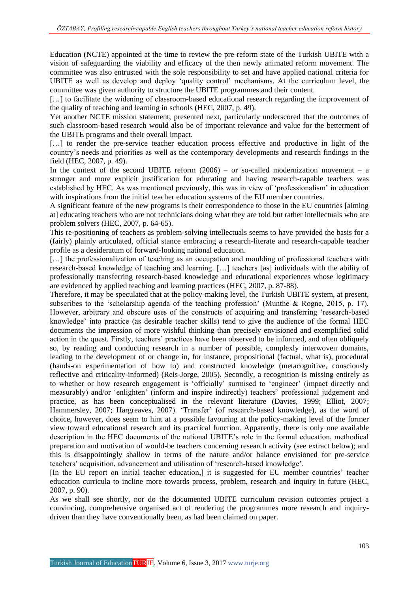Education (NCTE) appointed at the time to review the pre-reform state of the Turkish UBITE with a vision of safeguarding the viability and efficacy of the then newly animated reform movement. The committee was also entrusted with the sole responsibility to set and have applied national criteria for UBITE as well as develop and deploy 'quality control' mechanisms. At the curriculum level, the committee was given authority to structure the UBITE programmes and their content.

[...] to facilitate the widening of classroom-based educational research regarding the improvement of the quality of teaching and learning in schools (HEC, 2007, p. 49).

Yet another NCTE mission statement, presented next, particularly underscored that the outcomes of such classroom-based research would also be of important relevance and value for the betterment of the UBITE programs and their overall impact.

[...] to render the pre-service teacher education process effective and productive in light of the country's needs and priorities as well as the contemporary developments and research findings in the field (HEC, 2007, p. 49).

In the context of the second UBITE reform  $(2006)$  – or so-called modernization movement – a stronger and more explicit justification for educating and having research-capable teachers was established by HEC. As was mentioned previously, this was in view of 'professionalism' in education with inspirations from the initial teacher education systems of the EU member countries.

A significant feature of the new programs is their correspondence to those in the EU countries [aiming at] educating teachers who are not technicians doing what they are told but rather intellectuals who are problem solvers (HEC, 2007, p. 64-65).

This re-positioning of teachers as problem-solving intellectuals seems to have provided the basis for a (fairly) plainly articulated, official stance embracing a research-literate and research-capable teacher profile as a desideratum of forward-looking national education.

[...] the professionalization of teaching as an occupation and moulding of professional teachers with research-based knowledge of teaching and learning. […] teachers [as] individuals with the ability of professionally transferring research-based knowledge and educational experiences whose legitimacy are evidenced by applied teaching and learning practices (HEC, 2007, p. 87-88).

Therefore, it may be speculated that at the policy-making level, the Turkish UBITE system, at present, subscribes to the 'scholarship agenda of the teaching profession' (Munthe & Rogne, 2015, p. 17). However, arbitrary and obscure uses of the constructs of acquiring and transferring 'research-based knowledge' into practice (as desirable teacher skills) tend to give the audience of the formal HEC documents the impression of more wishful thinking than precisely envisioned and exemplified solid action in the quest. Firstly, teachers' practices have been observed to be informed, and often obliquely so, by reading and conducting research in a number of possible, complexly interwoven domains, leading to the development of or change in, for instance, propositional (factual, what is), procedural (hands-on experimentation of how to) and constructed knowledge (metacognitive, consciously reflective and criticality-informed) (Reis-Jorge, 2005). Secondly, a recognition is missing entirely as to whether or how research engagement is 'officially' surmised to 'engineer' (impact directly and measurably) and/or 'enlighten' (inform and inspire indirectly) teachers' professional judgement and practice, as has been conceptualised in the relevant literature (Davies, 1999; Elliot, 2007; Hammersley, 2007; Hargreaves, 2007). 'Transfer' (of research-based knowledge), as the word of choice, however, does seem to hint at a possible favouring at the policy-making level of the former view toward educational research and its practical function. Apparently, there is only one available description in the HEC documents of the national UBITE's role in the formal education, methodical preparation and motivation of would-be teachers concerning research activity (see extract below); and this is disappointingly shallow in terms of the nature and/or balance envisioned for pre-service teachers' acquisition, advancement and utilisation of 'research-based knowledge'.

[In the EU report on initial teacher education,] it is suggested for EU member countries' teacher education curricula to incline more towards process, problem, research and inquiry in future (HEC, 2007, p. 90).

As we shall see shortly, nor do the documented UBITE curriculum revision outcomes project a convincing, comprehensive organised act of rendering the programmes more research and inquirydriven than they have conventionally been, as had been claimed on paper.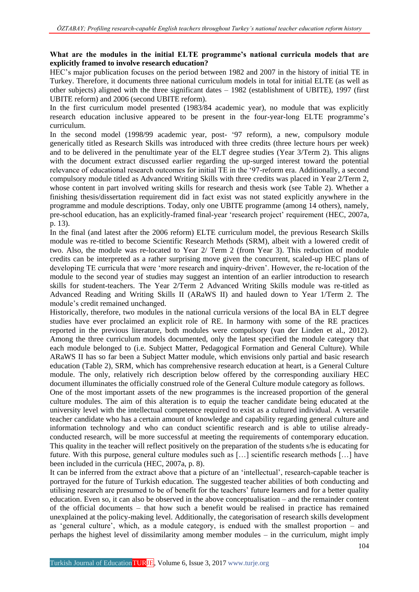### **What are the modules in the initial ELTE programme's national curricula models that are explicitly framed to involve research education?**

HEC's major publication focuses on the period between 1982 and 2007 in the history of initial TE in Turkey. Therefore, it documents three national curriculum models in total for initial ELTE (as well as other subjects) aligned with the three significant dates – 1982 (establishment of UBITE), 1997 (first UBITE reform) and 2006 (second UBITE reform).

In the first curriculum model presented (1983/84 academic year), no module that was explicitly research education inclusive appeared to be present in the four-year-long ELTE programme's curriculum.

In the second model (1998/99 academic year, post- '97 reform), a new, compulsory module generically titled as Research Skills was introduced with three credits (three lecture hours per week) and to be delivered in the penultimate year of the ELT degree studies (Year 3/Term 2). This aligns with the document extract discussed earlier regarding the up-surged interest toward the potential relevance of educational research outcomes for initial TE in the '97-reform era. Additionally, a second compulsory module titled as Advanced Writing Skills with three credits was placed in Year 2/Term 2, whose content in part involved writing skills for research and thesis work (see Table 2). Whether a finishing thesis/dissertation requirement did in fact exist was not stated explicitly anywhere in the programme and module descriptions. Today, only one UBITE programme (among 14 others), namely, pre-school education, has an explicitly-framed final-year 'research project' requirement (HEC, 2007a, p. 13).

In the final (and latest after the 2006 reform) ELTE curriculum model, the previous Research Skills module was re-titled to become Scientific Research Methods (SRM), albeit with a lowered credit of two. Also, the module was re-located to Year 2/ Term 2 (from Year 3). This reduction of module credits can be interpreted as a rather surprising move given the concurrent, scaled-up HEC plans of developing TE curricula that were 'more research and inquiry-driven'. However, the re-location of the module to the second year of studies may suggest an intention of an earlier introduction to research skills for student-teachers. The Year 2/Term 2 Advanced Writing Skills module was re-titled as Advanced Reading and Writing Skills II (ARaWS II) and hauled down to Year 1/Term 2. The module's credit remained unchanged.

Historically, therefore, two modules in the national curricula versions of the local BA in ELT degree studies have ever proclaimed an explicit role of RE. In harmony with some of the RE practices reported in the previous literature, both modules were compulsory (van der Linden et al., 2012). Among the three curriculum models documented, only the latest specified the module category that each module belonged to (i.e. Subject Matter, Pedagogical Formation and General Culture). While ARaWS II has so far been a Subject Matter module, which envisions only partial and basic research education (Table 2), SRM, which has comprehensive research education at heart, is a General Culture module. The only, relatively rich description below offered by the corresponding auxiliary HEC document illuminates the officially construed role of the General Culture module category as follows.

One of the most important assets of the new programmes is the increased proportion of the general culture modules. The aim of this alteration is to equip the teacher candidate being educated at the university level with the intellectual competence required to exist as a cultured individual. A versatile teacher candidate who has a certain amount of knowledge and capability regarding general culture and information technology and who can conduct scientific research and is able to utilise alreadyconducted research, will be more successful at meeting the requirements of contemporary education. This quality in the teacher will reflect positively on the preparation of the students s/he is educating for future. With this purpose, general culture modules such as […] scientific research methods […] have been included in the curricula (HEC, 2007a, p. 8).

It can be inferred from the extract above that a picture of an 'intellectual', research-capable teacher is portrayed for the future of Turkish education. The suggested teacher abilities of both conducting and utilising research are presumed to be of benefit for the teachers' future learners and for a better quality education. Even so, it can also be observed in the above conceptualisation – and the remainder content of the official documents – that how such a benefit would be realised in practice has remained unexplained at the policy-making level. Additionally, the categorisation of research skills development as 'general culture', which, as a module category, is endued with the smallest proportion – and perhaps the highest level of dissimilarity among member modules – in the curriculum, might imply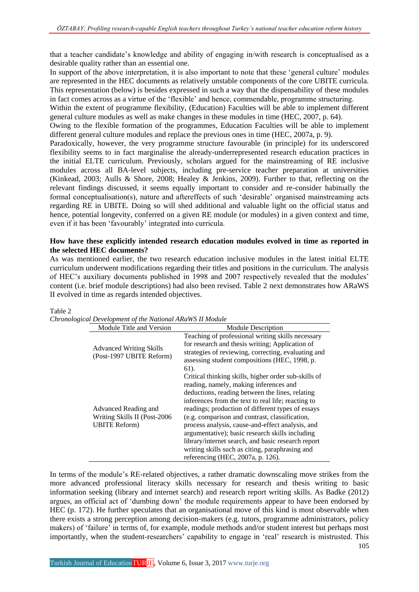that a teacher candidate's knowledge and ability of engaging in/with research is conceptualised as a desirable quality rather than an essential one.

In support of the above interpretation, it is also important to note that these 'general culture' modules are represented in the HEC documents as relatively unstable components of the core UBITE curricula. This representation (below) is besides expressed in such a way that the dispensability of these modules in fact comes across as a virtue of the 'flexible' and hence, commendable, programme structuring.

Within the extent of programme flexibility, (Education) Faculties will be able to implement different general culture modules as well as make changes in these modules in time (HEC, 2007, p. 64).

Owing to the flexible formation of the programmes, Education Faculties will be able to implement different general culture modules and replace the previous ones in time (HEC, 2007a, p. 9).

Paradoxically, however, the very programme structure favourable (in principle) for its underscored flexibility seems to in fact marginalise the already-underrepresented research education practices in the initial ELTE curriculum. Previously, scholars argued for the mainstreaming of RE inclusive modules across all BA-level subjects, including pre-service teacher preparation at universities (Kinkead, 2003; Aulls & Shore, 2008; Healey & Jenkins, 2009). Further to that, reflecting on the relevant findings discussed, it seems equally important to consider and re-consider habitually the formal conceptualisation(s), nature and aftereffects of such 'desirable' organised mainstreaming acts regarding RE in UBITE. Doing so will shed additional and valuable light on the official status and hence, potential longevity, conferred on a given RE module (or modules) in a given context and time, even if it has been 'favourably' integrated into curricula.

#### **How have these explicitly intended research education modules evolved in time as reported in the selected HEC documents?**

As was mentioned earlier, the two research education inclusive modules in the latest initial ELTE curriculum underwent modifications regarding their titles and positions in the curriculum. The analysis of HEC's auxiliary documents published in 1998 and 2007 respectively revealed that the modules' content (i.e. brief module descriptions) had also been revised. Table 2 next demonstrates how ARaWS II evolved in time as regards intended objectives.

| Chronological Development of the National ARaWS II Module |                                                                                |                                                                                                                                                                                                                                                                                                                                                                                                                                                                                                                                                                     |  |
|-----------------------------------------------------------|--------------------------------------------------------------------------------|---------------------------------------------------------------------------------------------------------------------------------------------------------------------------------------------------------------------------------------------------------------------------------------------------------------------------------------------------------------------------------------------------------------------------------------------------------------------------------------------------------------------------------------------------------------------|--|
|                                                           | Module Title and Version                                                       | <b>Module Description</b>                                                                                                                                                                                                                                                                                                                                                                                                                                                                                                                                           |  |
|                                                           | <b>Advanced Writing Skills</b><br>(Post-1997 UBITE Reform)                     | Teaching of professional writing skills necessary<br>for research and thesis writing; Application of<br>strategies of reviewing, correcting, evaluating and<br>assessing student compositions (HEC, 1998, p.<br>61).                                                                                                                                                                                                                                                                                                                                                |  |
|                                                           | Advanced Reading and<br>Writing Skills II (Post-2006)<br><b>UBITE Reform</b> ) | Critical thinking skills, higher order sub-skills of<br>reading, namely, making inferences and<br>deductions, reading between the lines, relating<br>inferences from the text to real life; reacting to<br>readings; production of different types of essays<br>(e.g. comparison and contrast, classification,<br>process analysis, cause-and-effect analysis, and<br>argumentative); basic research skills including<br>library/internet search, and basic research report<br>writing skills such as citing, paraphrasing and<br>referencing (HEC, 2007a, p. 126). |  |

Table 2

105 In terms of the module's RE-related objectives, a rather dramatic downscaling move strikes from the more advanced professional literacy skills necessary for research and thesis writing to basic information seeking (library and internet search) and research report writing skills. As Badke (2012) argues, an official act of 'dumbing down' the module requirements appear to have been endorsed by HEC (p. 172). He further speculates that an organisational move of this kind is most observable when there exists a strong perception among decision-makers (e.g. tutors, programme administrators, policy makers) of 'failure' in terms of, for example, module methods and/or student interest but perhaps most importantly, when the student-researchers' capability to engage in 'real' research is mistrusted. This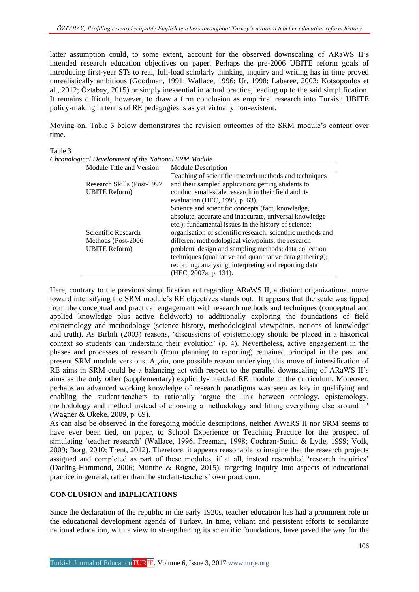latter assumption could, to some extent, account for the observed downscaling of ARaWS II's intended research education objectives on paper. Perhaps the pre-2006 UBITE reform goals of introducing first-year STs to real, full-load scholarly thinking, inquiry and writing has in time proved unrealistically ambitious (Goodman, 1991; Wallace, 1996; Ur, 1998; Labaree, 2003; Kotsopoulos et al., 2012; Öztabay, 2015) or simply inessential in actual practice, leading up to the said simplification. It remains difficult, however, to draw a firm conclusion as empirical research into Turkish UBITE policy-making in terms of RE pedagogies is as yet virtually non-existent.

Moving on, Table 3 below demonstrates the revision outcomes of the SRM module's content over time.

Table 3 *Chronological Development of the National SRM Module*

| ological Development of the National SRM Module |  |                                                             |  |  |
|-------------------------------------------------|--|-------------------------------------------------------------|--|--|
| Module Title and Version                        |  | <b>Module Description</b>                                   |  |  |
|                                                 |  | Teaching of scientific research methods and techniques      |  |  |
| Research Skills (Post-1997)                     |  | and their sampled application; getting students to          |  |  |
| <b>UBITE Reform</b> )                           |  | conduct small-scale research in their field and its         |  |  |
|                                                 |  | evaluation (HEC, 1998, p. 63).                              |  |  |
|                                                 |  | Science and scientific concepts (fact, knowledge,           |  |  |
|                                                 |  | absolute, accurate and inaccurate, universal knowledge      |  |  |
|                                                 |  | etc.); fundamental issues in the history of science;        |  |  |
| Scientific Research                             |  | organisation of scientific research, scientific methods and |  |  |
| Methods (Post-2006)                             |  | different methodological viewpoints; the research           |  |  |
| <b>UBITE Reform</b> )                           |  | problem, design and sampling methods; data collection       |  |  |
|                                                 |  | techniques (qualitative and quantitative data gathering);   |  |  |
|                                                 |  | recording, analysing, interpreting and reporting data       |  |  |
|                                                 |  | (HEC, 2007a, p. 131).                                       |  |  |

Here, contrary to the previous simplification act regarding ARaWS II, a distinct organizational move toward intensifying the SRM module's RE objectives stands out. It appears that the scale was tipped from the conceptual and practical engagement with research methods and techniques (conceptual and applied knowledge plus active fieldwork) to additionally exploring the foundations of field epistemology and methodology (science history, methodological viewpoints, notions of knowledge and truth). As Birbili (2003) reasons, 'discussions of epistemology should be placed in a historical context so students can understand their evolution' (p. 4). Nevertheless, active engagement in the phases and processes of research (from planning to reporting) remained principal in the past and present SRM module versions. Again, one possible reason underlying this move of intensification of RE aims in SRM could be a balancing act with respect to the parallel downscaling of ARaWS II's aims as the only other (supplementary) explicitly-intended RE module in the curriculum. Moreover, perhaps an advanced working knowledge of research paradigms was seen as key in qualifying and enabling the student-teachers to rationally 'argue the link between ontology, epistemology, methodology and method instead of choosing a methodology and fitting everything else around it' (Wagner & Okeke, 2009, p. 69).

As can also be observed in the foregoing module descriptions, neither AWaRS II nor SRM seems to have ever been tied, on paper, to School Experience or Teaching Practice for the prospect of simulating 'teacher research' (Wallace, 1996; Freeman, 1998; Cochran-Smith & Lytle, 1999; Volk, 2009; Borg, 2010; Trent, 2012). Therefore, it appears reasonable to imagine that the research projects assigned and completed as part of these modules, if at all, instead resembled 'research inquiries' (Darling-Hammond, 2006; Munthe & Rogne, 2015), targeting inquiry into aspects of educational practice in general, rather than the student-teachers' own practicum.

### **CONCLUSION and IMPLICATIONS**

Since the declaration of the republic in the early 1920s, teacher education has had a prominent role in the educational development agenda of Turkey. In time, valiant and persistent efforts to secularize national education, with a view to strengthening its scientific foundations, have paved the way for the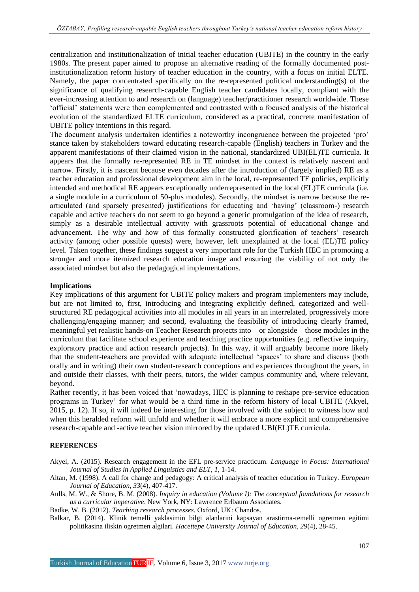centralization and institutionalization of initial teacher education (UBITE) in the country in the early 1980s. The present paper aimed to propose an alternative reading of the formally documented postinstitutionalization reform history of teacher education in the country, with a focus on initial ELTE. Namely, the paper concentrated specifically on the re-represented political understanding(s) of the significance of qualifying research-capable English teacher candidates locally, compliant with the ever-increasing attention to and research on (language) teacher/practitioner research worldwide. These 'official' statements were then complemented and contrasted with a focused analysis of the historical evolution of the standardized ELTE curriculum, considered as a practical, concrete manifestation of UBITE policy intentions in this regard.

The document analysis undertaken identifies a noteworthy incongruence between the projected 'pro' stance taken by stakeholders toward educating research-capable (English) teachers in Turkey and the apparent manifestations of their claimed vision in the national, standardized UBI(EL)TE curricula. It appears that the formally re-represented RE in TE mindset in the context is relatively nascent and narrow. Firstly, it is nascent because even decades after the introduction of (largely implied) RE as a teacher education and professional development aim in the local, re-represented TE policies, explicitly intended and methodical RE appears exceptionally underrepresented in the local (EL)TE curricula (i.e. a single module in a curriculum of 50-plus modules). Secondly, the mindset is narrow because the rearticulated (and sparsely presented) justifications for educating and 'having' (classroom-) research capable and active teachers do not seem to go beyond a generic promulgation of the idea of research, simply as a desirable intellectual activity with grassroots potential of educational change and advancement. The why and how of this formally constructed glorification of teachers' research activity (among other possible quests) were, however, left unexplained at the local (EL)TE policy level. Taken together, these findings suggest a very important role for the Turkish HEC in promoting a stronger and more itemized research education image and ensuring the viability of not only the associated mindset but also the pedagogical implementations.

#### **Implications**

Key implications of this argument for UBITE policy makers and program implementers may include, but are not limited to, first, introducing and integrating explicitly defined, categorized and wellstructured RE pedagogical activities into all modules in all years in an interrelated, progressively more challenging/engaging manner; and second, evaluating the feasibility of introducing clearly framed, meaningful yet realistic hands-on Teacher Research projects into – or alongside – those modules in the curriculum that facilitate school experience and teaching practice opportunities (e.g. reflective inquiry, exploratory practice and action research projects). In this way, it will arguably become more likely that the student-teachers are provided with adequate intellectual 'spaces' to share and discuss (both orally and in writing) their own student-research conceptions and experiences throughout the years, in and outside their classes, with their peers, tutors, the wider campus community and, where relevant, beyond.

Rather recently, it has been voiced that 'nowadays, HEC is planning to reshape pre-service education programs in Turkey' for what would be a third time in the reform history of local UBITE (Akyel, 2015, p. 12). If so, it will indeed be interesting for those involved with the subject to witness how and when this heralded reform will unfold and whether it will embrace a more explicit and comprehensive research-capable and -active teacher vision mirrored by the updated UBI(EL)TE curricula.

### **REFERENCES**

Akyel, A. (2015). Research engagement in the EFL pre-service practicum. *Language in Focus: International Journal of Studies in Applied Linguistics and ELT*, *1*, 1-14.

- Altan, M. (1998). A call for change and pedagogy: A critical analysis of teacher education in Turkey. *European Journal of Education*, *33*(4), 407-417.
- Aulls, M. W., & Shore, B. M. (2008). *Inquiry in education (Volume I): The conceptual foundations for research as a curricular imperative*. New York, NY: Lawrence Erlbaum Associates.

Badke, W. B. (2012). *Teaching research processes*. Oxford, UK: Chandos.

Balkar, B. (2014). Klinik temelli yaklasimin bilgi alanlarini kapsayan arastirma-temelli ogretmen egitimi politikasina iliskin ogretmen algilari. *Hacettepe University Journal of Education*, *29*(4), 28-45.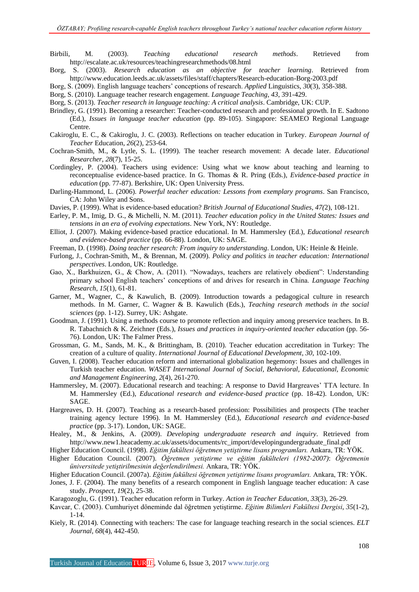- Birbili, M. (2003). *Teaching educational research methods*. Retrieved from http://escalate.ac.uk/resources/teachingresearchmethods/08.html
- Borg, S. (2003). *Research education as an objective for teacher learning*. Retrieved from http://www.education.leeds.ac.uk/assets/files/staff/chapters/Research-education-Borg-2003.pdf
- Borg, S. (2009). English language teachers' conceptions of research. *Applied* Linguistics*, 30*(3), 358-388.
- Borg, S. (2010). Language teacher research engagement. *Language Teaching*, *43*, 391-429.
- Borg, S. (2013). *Teacher research in language teaching: A critical analysis*. Cambridge, UK: CUP.
- Brindley, G. (1991). Becoming a researcher: Teacher-conducted research and professional growth. In E. Sadtono (Ed.), *Issues in language teacher education* (pp. 89-105). Singapore: SEAMEO Regional Language Centre.
- Cakiroglu, E. C., & Cakiroglu, J. C. (2003). Reflections on teacher education in Turkey. *European Journal of Teacher* Education*, 26*(2), 253-64.
- Cochran-Smith, M., & Lytle, S. L. (1999). The teacher research movement: A decade later. *Educational Researcher*, *28*(7), 15-25.
- Cordingley, P. (2004). Teachers using evidence: Using what we know about teaching and learning to reconceptualise evidence-based practice. In G. Thomas & R. Pring (Eds.), *Evidence-based practice in education* (pp. 77-87). Berkshire, UK: Open University Press.
- Darling-Hammond, L. (2006). *Powerful teacher education: Lessons from exemplary programs*. San Francisco, CA: John Wiley and Sons.
- Davies, P. (1999). What is evidence-based education? *British Journal of Educational Studies*, *47(*2), 108-121.
- Earley, P. M., Imig, D. G., & Michelli, N. M. (2011). *Teacher education policy in the United States: Issues and tensions in an era of evolving expectations*. New York, NY: Routledge.
- Elliot, J. (2007). Making evidence-based practice educational. In M. Hammersley (Ed.), *Educational research and evidence-based practice* (pp. 66-88). London, UK: SAGE.
- Freeman, D. (1998). *Doing teacher research: From inquiry to understanding*. London, UK: Heinle & Heinle.
- Furlong, J., Cochran-Smith, M., & Brennan, M. (2009). *Policy and politics in teacher education: International perspectives*. London, UK: Routledge.
- Gao, X., Barkhuizen, G., & Chow, A. (2011). "Nowadays, teachers are relatively obedient": Understanding primary school English teachers' conceptions of and drives for research in China. *Language Teaching Research*, *15*(1), 61-81.
- Garner, M., Wagner, C., & Kawulich, B. (2009). Introduction towards a pedagogical culture in research methods. In M. Garner, C. Wagner & B. Kawulich (Eds.), *Teaching research methods in the social sciences* (pp. 1-12). Surrey, UK: Ashgate.
- Goodman, J. (1991). Using a methods course to promote reflection and inquiry among preservice teachers. In B. R. Tabachnich & K. Zeichner (Eds.), *Issues and practices in inquiry-oriented teacher education* (pp. 56-76). London, UK: The Falmer Press.
- Grossman, G. M., Sands, M. K., & Brittingham, B. (2010). Teacher education accreditation in Turkey: The creation of a culture of quality. *International Journal of Educational Development*, *30*, 102-109.
- Guven, I. (2008). Teacher education reform and international globalization hegemony: Issues and challenges in Turkish teacher education. *WASET International Journal of Social, Behavioral, Educational, Economic and Management Engineering*, *2*(4), 261-270.
- Hammersley, M. (2007). Educational research and teaching: A response to David Hargreaves' TTA lecture. In M. Hammersley (Ed.), *Educational research and evidence-based practice* (pp. 18-42). London, UK: SAGE.
- Hargreaves, D. H. (2007). Teaching as a research-based profession: Possibilities and prospects (The teacher training agency lecture 1996). In M. Hammersley (Ed.), *Educational research and evidence-based practice* (pp. 3-17). London, UK: SAGE.
- Healey, M., & Jenkins, A. (2009). *Developing undergraduate research and inquiry*. Retrieved from http://www.new1.heacademy.ac.uk/assets/documents/rc\_import/developingundergraduate\_final.pdf
- Higher Education Council. (1998). *Eğitim fakültesi öğretmen yetiştirme lisans programları.* Ankara, TR: YÖK.
- Higher Education Council. (2007). *Öğretmen yetiştirme ve eğitim fakülteleri (1982-2007)*: *Öğretmenin üniversitede yetiştirilmesinin değerlendirilmesi.* Ankara, TR: YÖK.
- Higher Education Council. (2007a). *Eğitim fakültesi öğretmen yetiştirme lisans programları.* Ankara, TR: YÖK.
- Jones, J. F. (2004). The many benefits of a research component in English language teacher education: A case study. *Prospect*, *19*(2), 25-38.
- Karagozoglu, G. (1991). Teacher education reform in Turkey. *Action in Teacher Education*, *33*(3), 26-29.
- Kavcar, C. (2003). Cumhuriyet döneminde dal öğretmen yetiştirme. *Eğitim Bilimleri Fakültesi Dergisi*, *35*(1-2), 1-14.
- Kiely, R. (2014). Connecting with teachers: The case for language teaching research in the social sciences. *ELT Journal*, *68*(4), 442-450.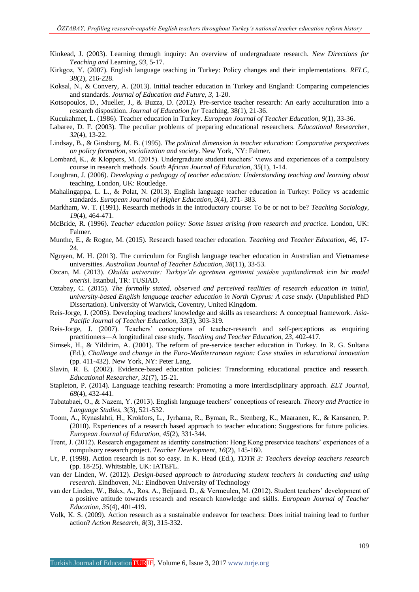- Kinkead, J. (2003). Learning through inquiry: An overview of undergraduate research. *New Directions for Teaching and* Learning, *93*, 5-17.
- Kirkgoz, Y. (2007). English language teaching in Turkey: Policy changes and their implementations. *RELC*, *38*(2), 216-228.
- Koksal, N., & Convery, A. (2013). Initial teacher education in Turkey and England: Comparing competencies and standards. *Journal of Education and Future*, *3*, 1-20.
- Kotsopoulos, D., Mueller, J., & Buzza, D. (2012). Pre-service teacher research: An early acculturation into a research disposition. *Journal of Education for* Teaching, 38(1), 21-36.
- Kucukahmet, L. (1986). Teacher education in Turkey. *European Journal of Teacher Education*, *9*(1), 33-36.
- Labaree, D. F. (2003). The peculiar problems of preparing educational researchers. *Educational Researcher*, *32*(4), 13-22.
- Lindsay, B., & Ginsburg, M. B. (1995). *The political dimension in teacher education: Comparative perspectives on policy formation, socialization and society*. New York, NY: Falmer.
- Lombard, K., & Kloppers, M. (2015). Undergraduate student teachers' views and experiences of a compulsory course in research methods. *South African Journal of Education*, *35*(1), 1-14.
- Loughran, J. (2006). *Developing a pedagogy of teacher education: Understanding teaching and learning about*  teaching. London, UK: Routledge.
- Mahalingappa, L. L., & Polat, N. (2013). English language teacher education in Turkey: Policy vs academic standards. *European Journal of Higher Education*, *3*(4), 371- 383.
- Markham, W. T. (1991). Research methods in the introductory course: To be or not to be? *Teaching Sociology*, *19*(4), 464-471.
- McBride, R. (1996). *Teacher education policy: Some issues arising from research and practice.* London, UK: Falmer.
- Munthe, E., & Rogne, M. (2015). Research based teacher education. *Teaching and Teacher Education*, *46*, 17- 24.
- Nguyen, M. H. (2013). The curriculum for English language teacher education in Australian and Vietnamese universities. *Australian Journal of Teacher Education*, *38*(11), 33-53.
- Ozcan, M. (2013). *Okulda universite: Turkiye'de ogretmen egitimini yeniden yapilandirmak icin bir model onerisi*. Istanbul, TR: TUSIAD.
- Oztabay, C. (2015). *The formally stated, observed and perceived realities of research education in initial, university-based English language teacher education in North Cyprus: A case study.* (Unpublished PhD Dissertation). University of Warwick, Coventry, United Kingdom.
- Reis-Jorge, J. (2005). Developing teachers' knowledge and skills as researchers: A conceptual framework. *Asia-Pacific Journal of Teacher Education*, *33*(3), 303-319.
- Reis-Jorge, J. (2007). Teachers' conceptions of teacher-research and self-perceptions as enquiring practitioners—A longitudinal case study. *Teaching and Teacher Education*, *23*, 402-417.
- Simsek, H., & Yildirim, A. (2001). The reform of pre-service teacher education in Turkey. In R. G. Sultana (Ed.), *Challenge and change in the Euro-Mediterranean region: Case studies in educational innovation*  (pp. 411-432). New York, NY: Peter Lang.
- Slavin, R. E. (2002). Evidence-based education policies: Transforming educational practice and research. *Educational Researcher*, *31*(7), 15-21.
- Stapleton, P. (2014). Language teaching research: Promoting a more interdisciplinary approach. *ELT Journal*, *68*(4), 432-441.
- Tabatabaei, O., & Nazem, Y. (2013). English language teachers' conceptions of research. *Theory and Practice in Language Studies*, *3*(3), 521-532.
- Toom, A., Kynaslahti, H., Krokfors, L., Jyrhama, R., Byman, R., Stenberg, K., Maaranen, K., & Kansanen, P. (2010). Experiences of a research based approach to teacher education: Suggestions for future policies. *European Journal of Education*, *45*(2), 331-344.
- Trent, J. (2012). Research engagement as identity construction: Hong Kong preservice teachers' experiences of a compulsory research project. *Teacher Development*, *16*(2), 145-160.
- Ur, P. (1998). Action research is not so easy. In K. Head (Ed.), *TDTR 3: Teachers develop teachers research*  (pp. 18-25). Whitstable, UK: IATEFL.
- van der Linden, W. (2012). *Design-based approach to introducing student teachers in conducting and using research*. Eindhoven, NL: Eindhoven University of Technology
- van der Linden, W., Bakx, A., Ros, A., Beijaard, D., & Vermeulen, M. (2012). Student teachers' development of a positive attitude towards research and research knowledge and skills. *European Journal of Teacher Education*, *35*(4), 401-419.
- Volk, K. S. (2009). Action research as a sustainable endeavor for teachers: Does initial training lead to further action? *Action Research*, *8*(3), 315-332.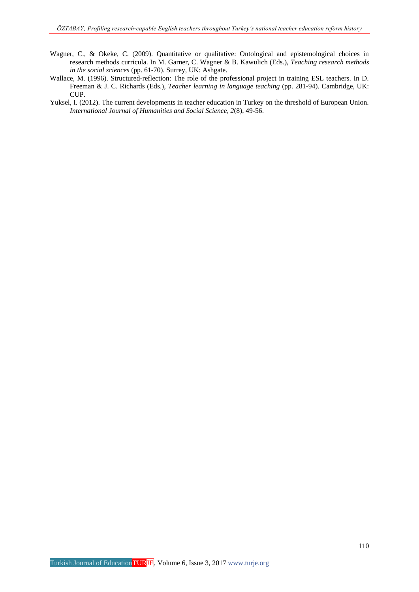- Wagner, C., & Okeke, C. (2009). Quantitative or qualitative: Ontological and epistemological choices in research methods curricula. In M. Garner, C. Wagner & B. Kawulich (Eds.), *Teaching research methods in the social sciences* (pp. 61-70). Surrey, UK: Ashgate.
- Wallace, M. (1996). Structured-reflection: The role of the professional project in training ESL teachers. In D. Freeman & J. C. Richards (Eds.), *Teacher learning in language teaching* (pp. 281-94). Cambridge, UK: CUP.
- Yuksel, I. (2012). The current developments in teacher education in Turkey on the threshold of European Union. *International Journal of Humanities and Social Science*, *2*(8), 49-56.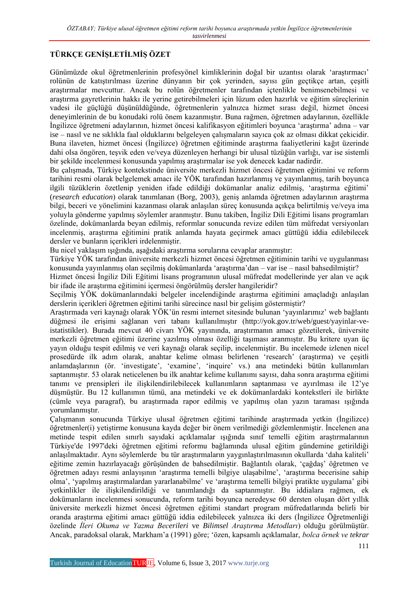# **TÜRKÇE GENİŞLETİLMİŞ ÖZET**

Günümüzde okul öğretmenlerinin profesyönel kimliklerinin doğal bir uzantısı olarak 'araştırmacı' rolünün de katıştırılması üzerine dünyanın bir çok yerinden, sayısı gün geçtikçe artan, çeşitli araştırmalar mevcuttur. Ancak bu rolün öğretmenler tarafından içtenlikle benimsenebilmesi ve araştırma gayretlerinin hakkı ile yerine getirebilmeleri için lüzum eden hazırlık ve eğitim süreçlerinin vadesi ile güçlüğü düşünüldüğünde, öğretmenlerin yalnızca hizmet sırası değil, hizmet öncesi deneyimlerinin de bu konudaki rolü önem kazanmıştır. Buna rağmen, öğretmen adaylarının, özellikle İngilizce öğretmeni adaylarının, hizmet öncesi kalifikasyon eğitimleri boyunca 'araştırma' adına – var ise – nasıl ve ne sıklıkla faal olduklarını belgeleyen çalışmaların sayıca çok az olması dikkat çekicidir. Buna ilaveten, hizmet öncesi (İngilizce) öğretmen eğitiminde araştırma faaliyetlerini kağıt üzerinde dahi olsa öngören, teşvik eden ve/veya düzenleyen herhangi bir ulusal tüzüğün varlığı, var ise sistemli bir şekilde incelenmesi konusunda yapılmış araştırmalar ise yok denecek kadar nadirdir.

Bu çalışmada, Türkiye kontekstinde üniversite merkezli hizmet öncesi öğretmen eğitimini ve reform tarihini resmi olarak belgelemek amacı ile YÖK tarafından hazırlanmış ve yayınlanmış, tarih boyunca ilgili tüzüklerin özetlenip yeniden ifade edildiği dokümanlar analiz edilmiş, 'araştırma eğitimi' (*research education*) olarak tanımlanan (Borg, 2003), geniş anlamda öğretmen adaylarının araştırma bilgi, beceri ve yönelimini kazanması olarak anlaşılan süreç konusunda açıkça belirtilmiş ve/veya ima yoluyla gönderme yapılmış söylemler aranmıştır. Bunu takiben, İngiliz Dili Eğitimi lisans programları özelinde, dokümanlarda beyan edilmiş, reformlar sonucunda revize edilen tüm müfredat versiyonları incelenmiş, araştırma eğitimini pratik anlamda hayata geçirmek amacı güttüğü iddia edilebilecek dersler ve bunların içerikleri irdelenmiştir.

Bu nicel yaklaşım ışığında, aşağıdaki araştırma sorularına cevaplar aranmıştır:

Türkiye YÖK tarafından üniversite merkezli hizmet öncesi öğretmen eğitiminin tarihi ve uygulanması konusunda yayınlanmış olan seçilmiş dokümanlarda 'araştırma'dan – var ise – nasıl bahsedilmiştir?

Hizmet öncesi İngiliz Dili Eğitimi lisans programının ulusal müfredat modellerinde yer alan ve açık bir ifade ile araştırma eğitimini içermesi öngörülmüş dersler hangileridir?

Seçilmiş YÖK dokümanlarındaki belgeler incelendiğinde araştırma eğitimini amaçladığı anlaşılan derslerin içerikleri öğretmen eğitimi tarihi sürecince nasıl bir gelişim göstermiştir?

Araştırmada veri kaynağı olarak YÖK'ün resmi internet sitesinde bulunan 'yayınlarımız' web bağlantı düğmesi ile erişimi sağlanan veri tabanı kullanılmıştır (http://yok.gov.tr/web/guest/yayinlar-veistatistikler). Burada mevcut 40 civarı YÖK yayınında, araştırmanın amacı gözetilerek, üniversite merkezli öğretmen eğitimi üzerine yazılmış olması özelliği taşıması aranmıştır. Bu kritere uyan üç yayın olduğu tespit edilmiş ve veri kaynağı olarak seçilip, incelenmiştir. Bu incelemede izlenen nicel prosedürde ilk adım olarak, anahtar kelime olması belirlenen 'research' (araştırma) ve çeşitli anlamdaşlarının (ör. 'investigate', 'examine', 'inquire' vs.) ana metindeki bütün kullanımları saptanmıştır. 53 olarak neticelenen bu ilk anahtar kelime kullanımı sayısı, daha sonra araştırma eğitimi tanımı ve prensipleri ile ilişkilendirilebilecek kullanımların saptanması ve ayırılması ile 12'ye düşmüştür. Bu 12 kullanımın tümü, ana metindeki ve ek dokümanlardaki kontekstleri ile birlikte (cümle veya paragraf), bu araştırmada rapor edilmiş ve yapılmış olan yazın taraması ışığında yorumlanmıştır.

Çalışmanın sonucunda Türkiye ulusal öğretmen eğitimi tarihinde araştırmada yetkin (İngilizce) öğretmenler(i) yetiştirme konusuna kayda değer bir önem verilmediği gözlemlenmiştir. İncelenen ana metinde tespit edilen sınırlı sayıdaki açıklamalar ışığında sınıf temelli eğitim araştırmalarının Türkiye'de 1997'deki öğretmen eğitimi reformu bağlamında ulusal eğitim gündemine getirildiği anlaşılmaktadır. Aynı söylemlerde bu tür araştırmaların yaygınlaştırılmasının okullarda 'daha kaliteli' eğitime zemin hazırlayacağı görüşünden de bahsedilmiştir. Bağlantılı olarak, 'çağdaş' öğretmen ve öğretmen adayı resmi anlayışının 'araştırma temelli bilgiye ulaşabilme', 'araştırma becerisine sahip olma', 'yapılmış araştırmalardan yararlanabilme' ve 'araştırma temelli bilgiyi pratikte uygulama' gibi yetkinlikler ile ilişkilendirildiği ve tanımlandığı da saptanmıştır. Bu iddialara rağmen, ek dokümanların incelenmesi sonucunda, reform tarihi boyunca neredeyse 60 dersten oluşan dört yıllık üniversite merkezli hizmet öncesi öğretmen eğitimi standart program müfredatlarında belirli bir oranda araştırma eğitimi amacı güttüğü iddia edilebilecek yalnızca iki ders (İngilizce Öğretmenliği özelinde *İleri Okuma ve Yazma Becerileri* ve *Bilimsel Araştırma Metodları*) olduğu görülmüştür. Ancak, paradoksal olarak, Markham'a (1991) göre; 'özen, kapsamlı açıklamalar, *bolca örnek ve tekrar*